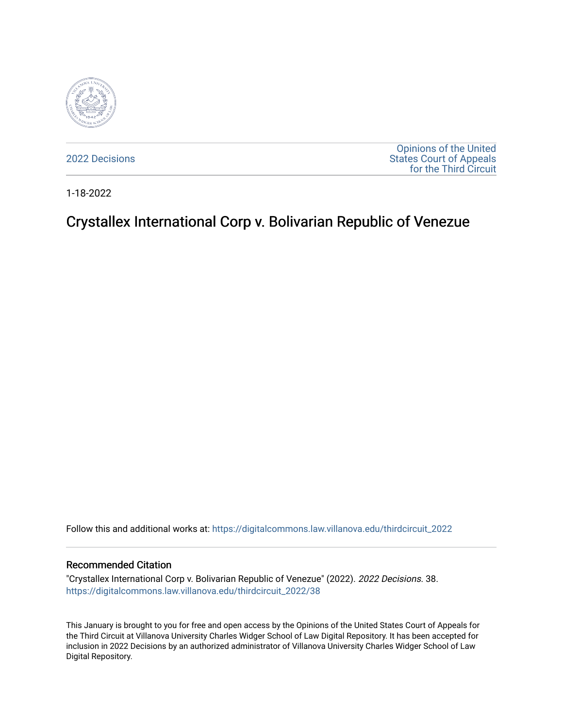

[2022 Decisions](https://digitalcommons.law.villanova.edu/thirdcircuit_2022)

[Opinions of the United](https://digitalcommons.law.villanova.edu/thirdcircuit)  [States Court of Appeals](https://digitalcommons.law.villanova.edu/thirdcircuit)  [for the Third Circuit](https://digitalcommons.law.villanova.edu/thirdcircuit) 

1-18-2022

# Crystallex International Corp v. Bolivarian Republic of Venezue

Follow this and additional works at: [https://digitalcommons.law.villanova.edu/thirdcircuit\\_2022](https://digitalcommons.law.villanova.edu/thirdcircuit_2022?utm_source=digitalcommons.law.villanova.edu%2Fthirdcircuit_2022%2F38&utm_medium=PDF&utm_campaign=PDFCoverPages) 

#### Recommended Citation

"Crystallex International Corp v. Bolivarian Republic of Venezue" (2022). 2022 Decisions. 38. [https://digitalcommons.law.villanova.edu/thirdcircuit\\_2022/38](https://digitalcommons.law.villanova.edu/thirdcircuit_2022/38?utm_source=digitalcommons.law.villanova.edu%2Fthirdcircuit_2022%2F38&utm_medium=PDF&utm_campaign=PDFCoverPages)

This January is brought to you for free and open access by the Opinions of the United States Court of Appeals for the Third Circuit at Villanova University Charles Widger School of Law Digital Repository. It has been accepted for inclusion in 2022 Decisions by an authorized administrator of Villanova University Charles Widger School of Law Digital Repository.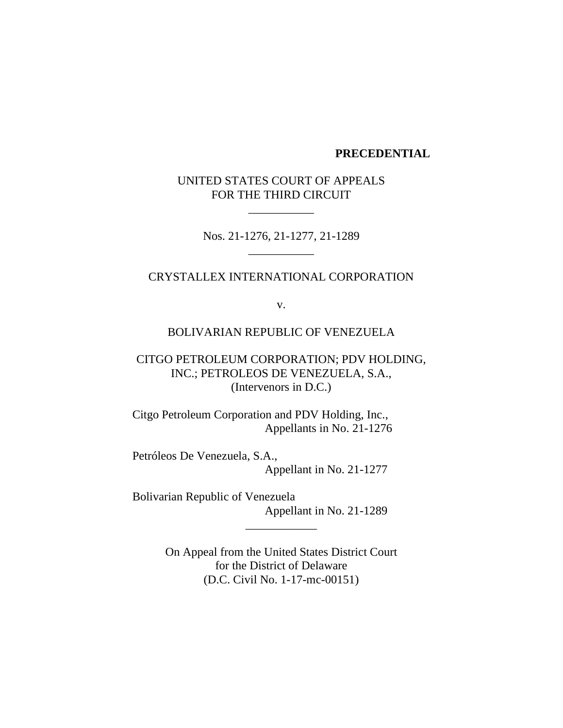## **PRECEDENTIAL**

# UNITED STATES COURT OF APPEALS FOR THE THIRD CIRCUIT

\_\_\_\_\_\_\_\_\_\_\_

Nos. 21-1276, 21-1277, 21-1289 \_\_\_\_\_\_\_\_\_\_\_

#### CRYSTALLEX INTERNATIONAL CORPORATION

v.

## BOLIVARIAN REPUBLIC OF VENEZUELA

CITGO PETROLEUM CORPORATION; PDV HOLDING, INC.; PETROLEOS DE VENEZUELA, S.A., (Intervenors in D.C.)

Citgo Petroleum Corporation and PDV Holding, Inc., Appellants in No. 21-1276

Petróleos De Venezuela, S.A., Appellant in No. 21-1277

Bolivarian Republic of Venezuela Appellant in No. 21-1289

> On Appeal from the United States District Court for the District of Delaware (D.C. Civil No. 1-17-mc-00151)

\_\_\_\_\_\_\_\_\_\_\_\_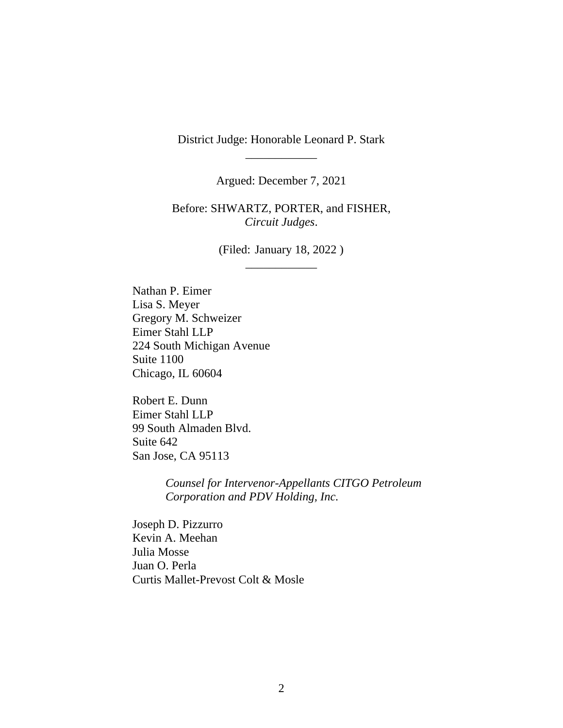District Judge: Honorable Leonard P. Stark \_\_\_\_\_\_\_\_\_\_\_\_

Argued: December 7, 2021

Before: SHWARTZ, PORTER, and FISHER, *Circuit Judges*.

> (Filed: January 18, 2022 ) \_\_\_\_\_\_\_\_\_\_\_\_

Nathan P. Eimer Lisa S. Meyer Gregory M. Schweizer Eimer Stahl LLP 224 South Michigan Avenue Suite 1100 Chicago, IL 60604

Robert E. Dunn Eimer Stahl LLP 99 South Almaden Blvd. Suite 642 San Jose, CA 95113

> *Counsel for Intervenor-Appellants CITGO Petroleum Corporation and PDV Holding, Inc.*

Joseph D. Pizzurro Kevin A. Meehan Julia Mosse Juan O. Perla Curtis Mallet-Prevost Colt & Mosle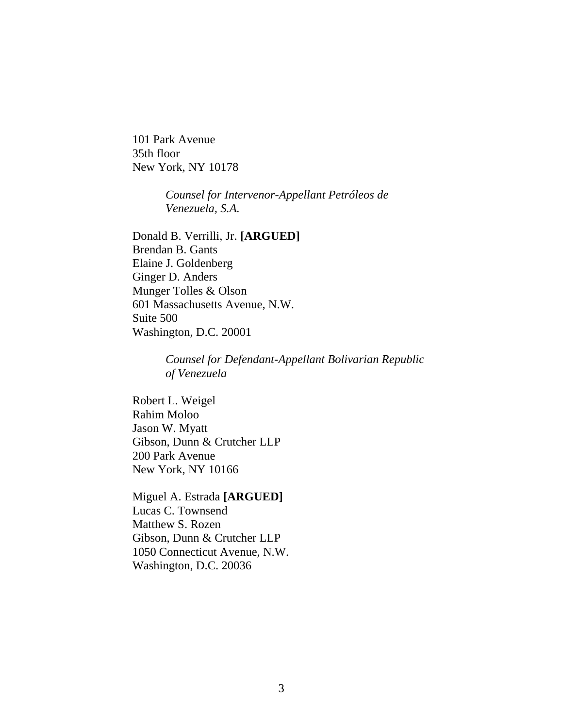101 Park Avenue 35th floor New York, NY 10178

> *Counsel for Intervenor-Appellant Petróleos de Venezuela, S.A.*

Donald B. Verrilli, Jr. **[ARGUED]** Brendan B. Gants Elaine J. Goldenberg Ginger D. Anders Munger Tolles & Olson 601 Massachusetts Avenue, N.W. Suite 500 Washington, D.C. 20001

> *Counsel for Defendant-Appellant Bolivarian Republic of Venezuela*

Robert L. Weigel Rahim Moloo Jason W. Myatt Gibson, Dunn & Crutcher LLP 200 Park Avenue New York, NY 10166

Miguel A. Estrada **[ARGUED]** Lucas C. Townsend Matthew S. Rozen Gibson, Dunn & Crutcher LLP 1050 Connecticut Avenue, N.W. Washington, D.C. 20036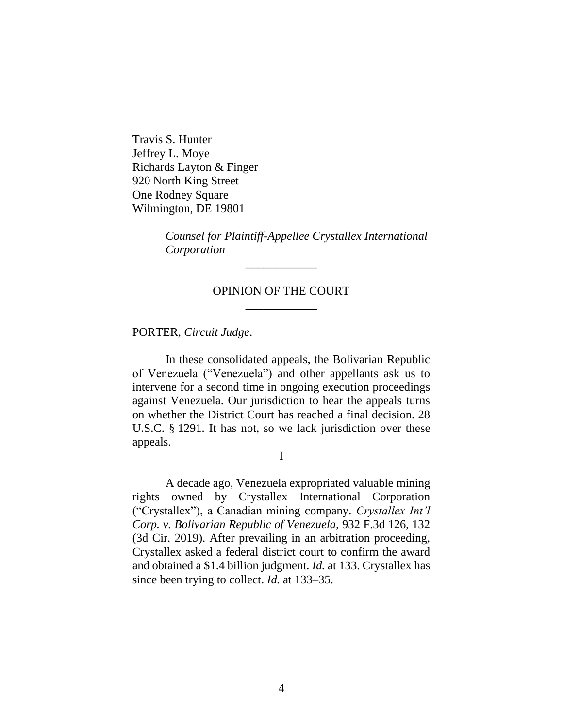Travis S. Hunter Jeffrey L. Moye Richards Layton & Finger 920 North King Street One Rodney Square Wilmington, DE 19801

> *Counsel for Plaintiff-Appellee Crystallex International Corporation*

# OPINION OF THE COURT \_\_\_\_\_\_\_\_\_\_\_\_

\_\_\_\_\_\_\_\_\_\_\_\_

PORTER, *Circuit Judge*.

In these consolidated appeals, the Bolivarian Republic of Venezuela ("Venezuela") and other appellants ask us to intervene for a second time in ongoing execution proceedings against Venezuela. Our jurisdiction to hear the appeals turns on whether the District Court has reached a final decision. 28 U.S.C. § 1291. It has not, so we lack jurisdiction over these appeals.

I

A decade ago, Venezuela expropriated valuable mining rights owned by Crystallex International Corporation ("Crystallex"), a Canadian mining company. *Crystallex Int'l Corp. v. Bolivarian Republic of Venezuela*, 932 F.3d 126, 132 (3d Cir. 2019). After prevailing in an arbitration proceeding, Crystallex asked a federal district court to confirm the award and obtained a \$1.4 billion judgment. *Id.* at 133. Crystallex has since been trying to collect. *Id.* at 133–35.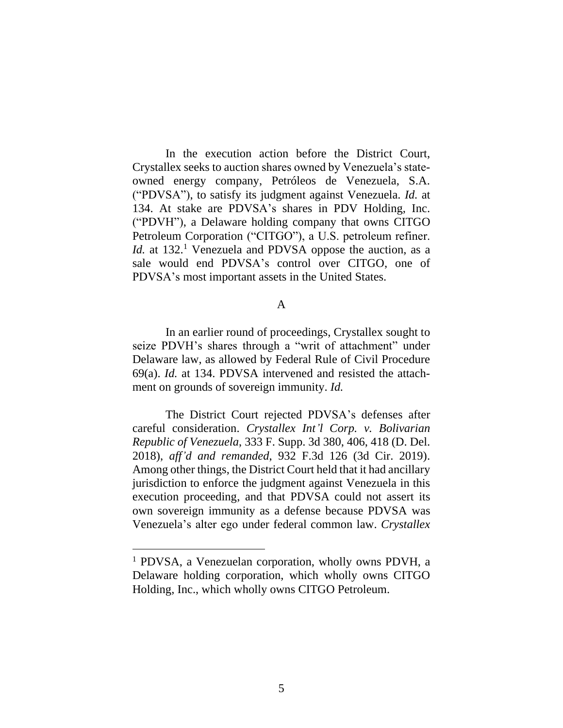In the execution action before the District Court, Crystallex seeks to auction shares owned by Venezuela's stateowned energy company, Petróleos de Venezuela, S.A. ("PDVSA"), to satisfy its judgment against Venezuela. *Id.* at 134. At stake are PDVSA's shares in PDV Holding, Inc. ("PDVH"), a Delaware holding company that owns CITGO Petroleum Corporation ("CITGO"), a U.S. petroleum refiner. *Id.* at 132.<sup>1</sup> Venezuela and PDVSA oppose the auction, as a sale would end PDVSA's control over CITGO, one of PDVSA's most important assets in the United States.

#### A

In an earlier round of proceedings, Crystallex sought to seize PDVH's shares through a "writ of attachment" under Delaware law, as allowed by Federal Rule of Civil Procedure 69(a). *Id.* at 134. PDVSA intervened and resisted the attachment on grounds of sovereign immunity. *Id.* 

The District Court rejected PDVSA's defenses after careful consideration. *Crystallex Int'l Corp. v. Bolivarian Republic of Venezuela*, 333 F. Supp. 3d 380, 406, 418 (D. Del. 2018), *aff'd and remanded*, 932 F.3d 126 (3d Cir. 2019). Among other things, the District Court held that it had ancillary jurisdiction to enforce the judgment against Venezuela in this execution proceeding, and that PDVSA could not assert its own sovereign immunity as a defense because PDVSA was Venezuela's alter ego under federal common law. *Crystallex* 

<sup>1</sup> PDVSA, a Venezuelan corporation, wholly owns PDVH, a Delaware holding corporation, which wholly owns CITGO Holding, Inc., which wholly owns CITGO Petroleum.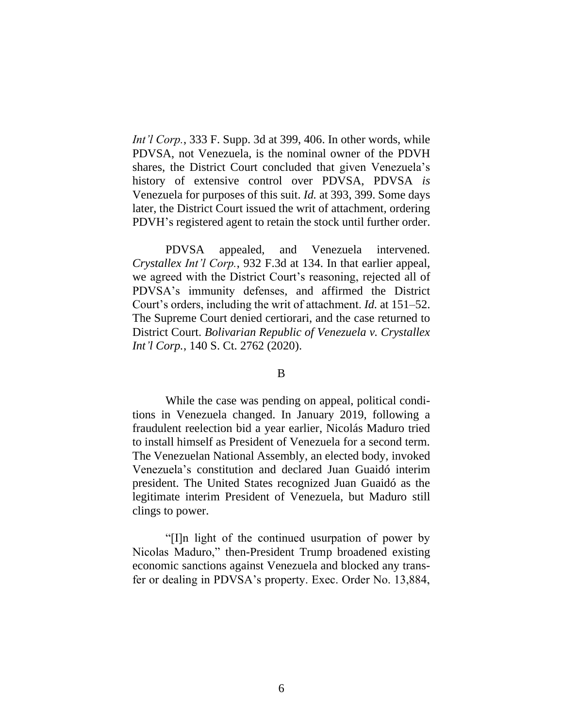*Int'l Corp.*, 333 F. Supp. 3d at 399, 406. In other words, while PDVSA, not Venezuela, is the nominal owner of the PDVH shares, the District Court concluded that given Venezuela's history of extensive control over PDVSA, PDVSA *is* Venezuela for purposes of this suit. *Id.* at 393, 399. Some days later, the District Court issued the writ of attachment, ordering PDVH's registered agent to retain the stock until further order.

PDVSA appealed, and Venezuela intervened. *Crystallex Int'l Corp.*, 932 F.3d at 134. In that earlier appeal, we agreed with the District Court's reasoning, rejected all of PDVSA's immunity defenses, and affirmed the District Court's orders, including the writ of attachment. *Id.* at 151–52. The Supreme Court denied certiorari, and the case returned to District Court. *Bolivarian Republic of Venezuela v. Crystallex Int'l Corp.*, 140 S. Ct. 2762 (2020).

#### B

While the case was pending on appeal, political conditions in Venezuela changed. In January 2019, following a fraudulent reelection bid a year earlier, Nicolás Maduro tried to install himself as President of Venezuela for a second term. The Venezuelan National Assembly, an elected body, invoked Venezuela's constitution and declared Juan Guaidó interim president. The United States recognized Juan Guaidó as the legitimate interim President of Venezuela, but Maduro still clings to power.

"[I]n light of the continued usurpation of power by Nicolas Maduro," then-President Trump broadened existing economic sanctions against Venezuela and blocked any transfer or dealing in PDVSA's property. Exec. Order No. 13,884,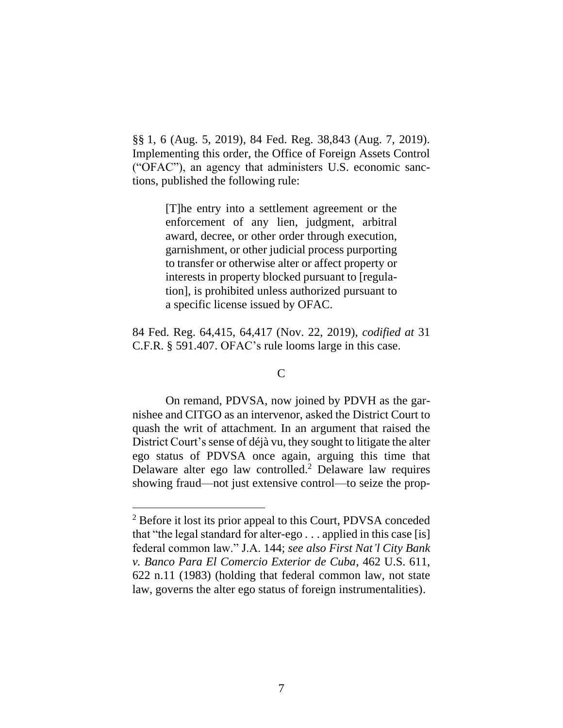§§ 1, 6 (Aug. 5, 2019), 84 Fed. Reg. 38,843 (Aug. 7, 2019). Implementing this order, the Office of Foreign Assets Control ("OFAC"), an agency that administers U.S. economic sanctions, published the following rule:

> [T]he entry into a settlement agreement or the enforcement of any lien, judgment, arbitral award, decree, or other order through execution, garnishment, or other judicial process purporting to transfer or otherwise alter or affect property or interests in property blocked pursuant to [regulation], is prohibited unless authorized pursuant to a specific license issued by OFAC.

84 Fed. Reg. 64,415, 64,417 (Nov. 22, 2019), *codified at* 31 C.F.R. § 591.407. OFAC's rule looms large in this case.

#### C

On remand, PDVSA, now joined by PDVH as the garnishee and CITGO as an intervenor, asked the District Court to quash the writ of attachment. In an argument that raised the District Court's sense of déjà vu, they sought to litigate the alter ego status of PDVSA once again, arguing this time that Delaware alter ego law controlled. <sup>2</sup> Delaware law requires showing fraud—not just extensive control—to seize the prop-

<sup>&</sup>lt;sup>2</sup> Before it lost its prior appeal to this Court, PDVSA conceded that "the legal standard for alter-ego . . . applied in this case [is] federal common law." J.A. 144; *see also First Nat'l City Bank v. Banco Para El Comercio Exterior de Cuba*, 462 U.S. 611, 622 n.11 (1983) (holding that federal common law, not state law, governs the alter ego status of foreign instrumentalities).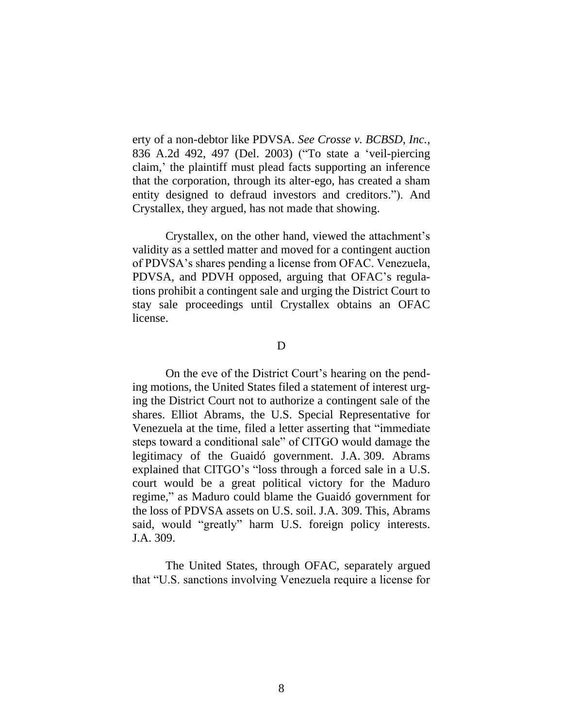erty of a non-debtor like PDVSA. *See Crosse v. BCBSD, Inc.*, 836 A.2d 492, 497 (Del. 2003) ("To state a 'veil-piercing claim,' the plaintiff must plead facts supporting an inference that the corporation, through its alter-ego, has created a sham entity designed to defraud investors and creditors."). And Crystallex, they argued, has not made that showing.

Crystallex, on the other hand, viewed the attachment's validity as a settled matter and moved for a contingent auction of PDVSA's shares pending a license from OFAC. Venezuela, PDVSA, and PDVH opposed, arguing that OFAC's regulations prohibit a contingent sale and urging the District Court to stay sale proceedings until Crystallex obtains an OFAC license.

## D

On the eve of the District Court's hearing on the pending motions, the United States filed a statement of interest urging the District Court not to authorize a contingent sale of the shares. Elliot Abrams, the U.S. Special Representative for Venezuela at the time, filed a letter asserting that "immediate steps toward a conditional sale" of CITGO would damage the legitimacy of the Guaidó government. J.A. 309. Abrams explained that CITGO's "loss through a forced sale in a U.S. court would be a great political victory for the Maduro regime," as Maduro could blame the Guaidó government for the loss of PDVSA assets on U.S. soil. J.A. 309. This, Abrams said, would "greatly" harm U.S. foreign policy interests. J.A. 309.

The United States, through OFAC, separately argued that "U.S. sanctions involving Venezuela require a license for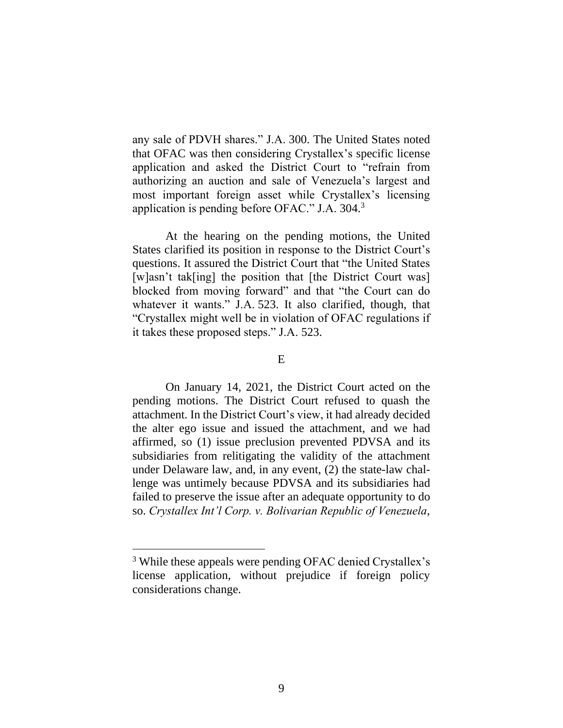any sale of PDVH shares." J.A. 300. The United States noted that OFAC was then considering Crystallex's specific license application and asked the District Court to "refrain from authorizing an auction and sale of Venezuela's largest and most important foreign asset while Crystallex's licensing application is pending before OFAC." J.A. 304.<sup>3</sup>

At the hearing on the pending motions, the United States clarified its position in response to the District Court's questions. It assured the District Court that "the United States [w]asn't tak[ing] the position that [the District Court was] blocked from moving forward" and that "the Court can do whatever it wants." J.A. 523. It also clarified, though, that "Crystallex might well be in violation of OFAC regulations if it takes these proposed steps." J.A. 523.

# E

On January 14, 2021, the District Court acted on the pending motions. The District Court refused to quash the attachment. In the District Court's view, it had already decided the alter ego issue and issued the attachment, and we had affirmed, so (1) issue preclusion prevented PDVSA and its subsidiaries from relitigating the validity of the attachment under Delaware law, and, in any event, (2) the state-law challenge was untimely because PDVSA and its subsidiaries had failed to preserve the issue after an adequate opportunity to do so. *Crystallex Int'l Corp. v. Bolivarian Republic of Venezuela*,

<sup>&</sup>lt;sup>3</sup> While these appeals were pending OFAC denied Crystallex's license application, without prejudice if foreign policy considerations change.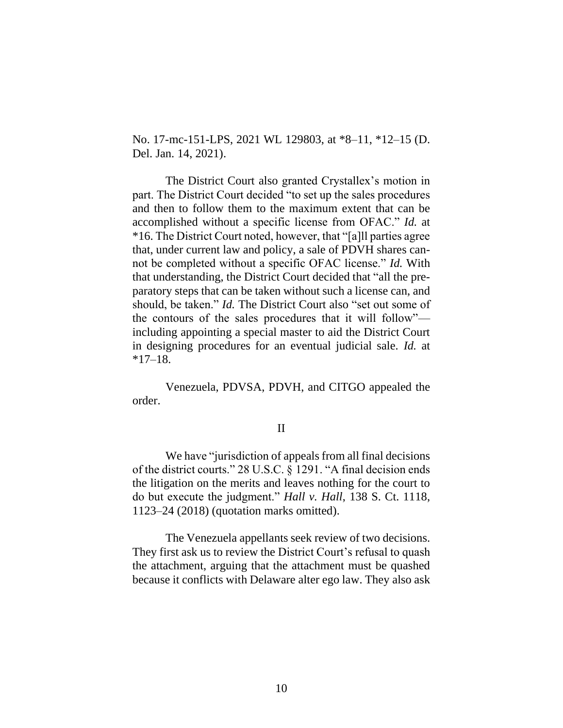No. 17-mc-151-LPS, 2021 WL 129803, at \*8–11, \*12–15 (D. Del. Jan. 14, 2021).

The District Court also granted Crystallex's motion in part. The District Court decided "to set up the sales procedures and then to follow them to the maximum extent that can be accomplished without a specific license from OFAC." *Id.* at \*16. The District Court noted, however, that "[a]ll parties agree that, under current law and policy, a sale of PDVH shares cannot be completed without a specific OFAC license." *Id.* With that understanding, the District Court decided that "all the preparatory steps that can be taken without such a license can, and should, be taken." *Id.* The District Court also "set out some of the contours of the sales procedures that it will follow" including appointing a special master to aid the District Court in designing procedures for an eventual judicial sale. *Id.* at  $*17–18.$ 

Venezuela, PDVSA, PDVH, and CITGO appealed the order.

## II

We have "jurisdiction of appeals from all final decisions of the district courts." 28 U.S.C. § 1291. "A final decision ends the litigation on the merits and leaves nothing for the court to do but execute the judgment." *Hall v. Hall*, 138 S. Ct. 1118, 1123–24 (2018) (quotation marks omitted).

The Venezuela appellants seek review of two decisions. They first ask us to review the District Court's refusal to quash the attachment, arguing that the attachment must be quashed because it conflicts with Delaware alter ego law. They also ask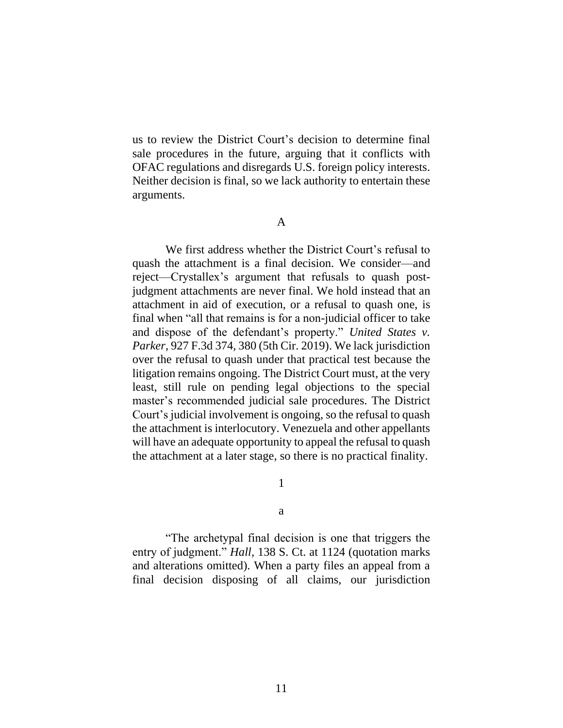us to review the District Court's decision to determine final sale procedures in the future, arguing that it conflicts with OFAC regulations and disregards U.S. foreign policy interests. Neither decision is final, so we lack authority to entertain these arguments.

A

We first address whether the District Court's refusal to quash the attachment is a final decision. We consider—and reject—Crystallex's argument that refusals to quash postjudgment attachments are never final. We hold instead that an attachment in aid of execution, or a refusal to quash one, is final when "all that remains is for a non-judicial officer to take and dispose of the defendant's property." *United States v. Parker*, 927 F.3d 374, 380 (5th Cir. 2019). We lack jurisdiction over the refusal to quash under that practical test because the litigation remains ongoing. The District Court must, at the very least, still rule on pending legal objections to the special master's recommended judicial sale procedures. The District Court's judicial involvement is ongoing, so the refusal to quash the attachment is interlocutory. Venezuela and other appellants will have an adequate opportunity to appeal the refusal to quash the attachment at a later stage, so there is no practical finality.

1

a

"The archetypal final decision is one that triggers the entry of judgment." *Hall*, 138 S. Ct. at 1124 (quotation marks and alterations omitted). When a party files an appeal from a final decision disposing of all claims, our jurisdiction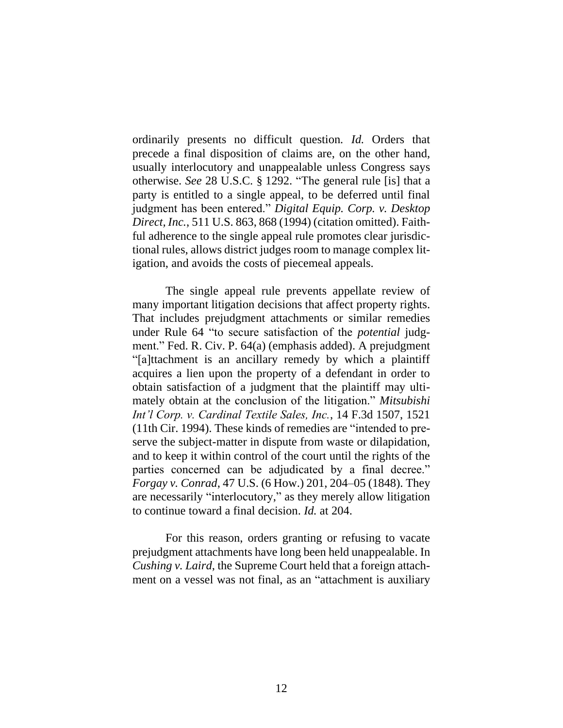ordinarily presents no difficult question*. Id.* Orders that precede a final disposition of claims are, on the other hand, usually interlocutory and unappealable unless Congress says otherwise. *See* 28 U.S.C. § 1292. "The general rule [is] that a party is entitled to a single appeal, to be deferred until final judgment has been entered." *Digital Equip. Corp. v. Desktop Direct, Inc.*, 511 U.S. 863, 868 (1994) (citation omitted). Faithful adherence to the single appeal rule promotes clear jurisdictional rules, allows district judges room to manage complex litigation, and avoids the costs of piecemeal appeals.

The single appeal rule prevents appellate review of many important litigation decisions that affect property rights. That includes prejudgment attachments or similar remedies under Rule 64 "to secure satisfaction of the *potential* judgment." Fed. R. Civ. P. 64(a) (emphasis added). A prejudgment "[a]ttachment is an ancillary remedy by which a plaintiff acquires a lien upon the property of a defendant in order to obtain satisfaction of a judgment that the plaintiff may ultimately obtain at the conclusion of the litigation." *Mitsubishi Int'l Corp. v. Cardinal Textile Sales, Inc.*, 14 F.3d 1507, 1521 (11th Cir. 1994). These kinds of remedies are "intended to preserve the subject-matter in dispute from waste or dilapidation, and to keep it within control of the court until the rights of the parties concerned can be adjudicated by a final decree." *Forgay v. Conrad*, 47 U.S. (6 How.) 201, 204–05 (1848). They are necessarily "interlocutory," as they merely allow litigation to continue toward a final decision. *Id.* at 204.

For this reason, orders granting or refusing to vacate prejudgment attachments have long been held unappealable. In *Cushing v. Laird*, the Supreme Court held that a foreign attachment on a vessel was not final, as an "attachment is auxiliary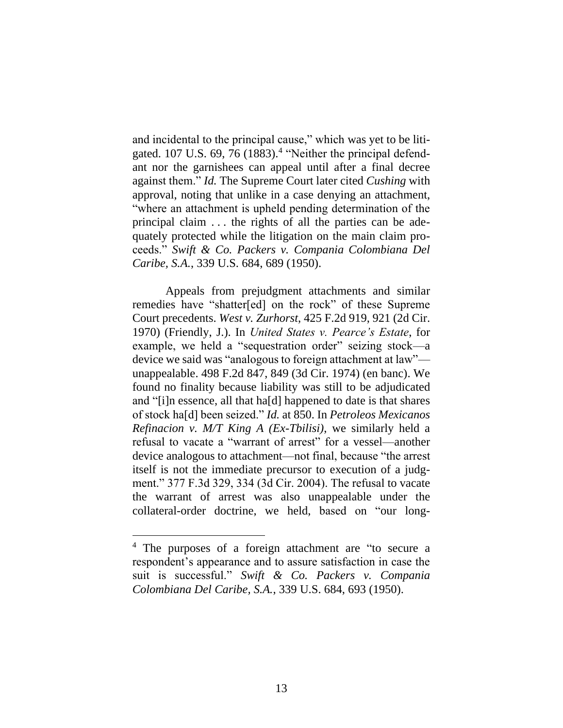and incidental to the principal cause," which was yet to be litigated. 107 U.S. 69, 76 (1883).<sup>4</sup> "Neither the principal defendant nor the garnishees can appeal until after a final decree against them." *Id.* The Supreme Court later cited *Cushing* with approval, noting that unlike in a case denying an attachment, "where an attachment is upheld pending determination of the principal claim . . . the rights of all the parties can be adequately protected while the litigation on the main claim proceeds." *Swift & Co. Packers v. Compania Colombiana Del Caribe, S.A.*, 339 U.S. 684, 689 (1950).

Appeals from prejudgment attachments and similar remedies have "shatter[ed] on the rock" of these Supreme Court precedents. *West v. Zurhorst*, 425 F.2d 919, 921 (2d Cir. 1970) (Friendly, J.). In *United States v. Pearce's Estate*, for example, we held a "sequestration order" seizing stock—a device we said was "analogous to foreign attachment at law" unappealable. 498 F.2d 847, 849 (3d Cir. 1974) (en banc). We found no finality because liability was still to be adjudicated and "[i]n essence, all that ha[d] happened to date is that shares of stock ha[d] been seized." *Id.* at 850. In *Petroleos Mexicanos Refinacion v. M/T King A (Ex-Tbilisi)*, we similarly held a refusal to vacate a "warrant of arrest" for a vessel—another device analogous to attachment—not final, because "the arrest itself is not the immediate precursor to execution of a judgment." 377 F.3d 329, 334 (3d Cir. 2004). The refusal to vacate the warrant of arrest was also unappealable under the collateral-order doctrine, we held, based on "our long-

<sup>4</sup> The purposes of a foreign attachment are "to secure a respondent's appearance and to assure satisfaction in case the suit is successful." *Swift & Co. Packers v. Compania Colombiana Del Caribe, S.A.*, 339 U.S. 684, 693 (1950).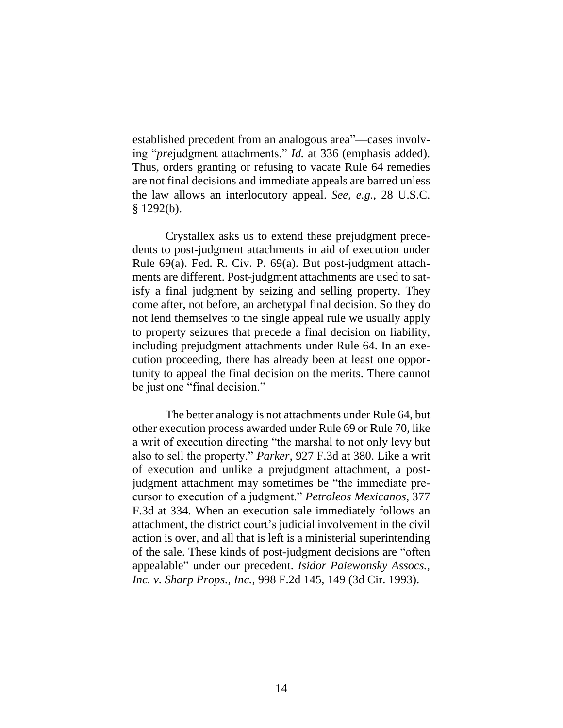established precedent from an analogous area"—cases involving "*pre*judgment attachments." *Id.* at 336 (emphasis added). Thus, orders granting or refusing to vacate Rule 64 remedies are not final decisions and immediate appeals are barred unless the law allows an interlocutory appeal. *See, e.g.*, 28 U.S.C. § 1292(b).

Crystallex asks us to extend these prejudgment precedents to post-judgment attachments in aid of execution under Rule 69(a). Fed. R. Civ. P. 69(a). But post-judgment attachments are different. Post-judgment attachments are used to satisfy a final judgment by seizing and selling property. They come after, not before, an archetypal final decision. So they do not lend themselves to the single appeal rule we usually apply to property seizures that precede a final decision on liability, including prejudgment attachments under Rule 64. In an execution proceeding, there has already been at least one opportunity to appeal the final decision on the merits. There cannot be just one "final decision."

The better analogy is not attachments under Rule 64, but other execution process awarded under Rule 69 or Rule 70, like a writ of execution directing "the marshal to not only levy but also to sell the property." *Parker*, 927 F.3d at 380. Like a writ of execution and unlike a prejudgment attachment, a postjudgment attachment may sometimes be "the immediate precursor to execution of a judgment." *Petroleos Mexicanos*, 377 F.3d at 334. When an execution sale immediately follows an attachment, the district court's judicial involvement in the civil action is over, and all that is left is a ministerial superintending of the sale. These kinds of post-judgment decisions are "often appealable" under our precedent. *Isidor Paiewonsky Assocs., Inc. v. Sharp Props., Inc.*, 998 F.2d 145, 149 (3d Cir. 1993).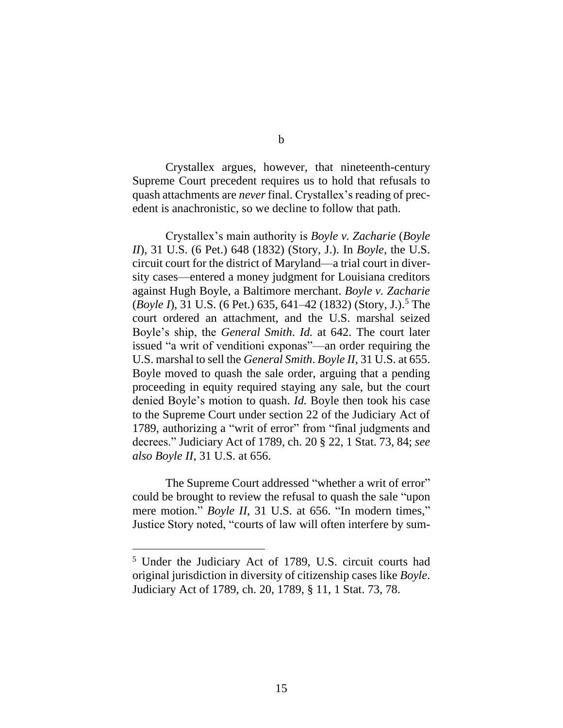Crystallex argues, however, that nineteenth-century Supreme Court precedent requires us to hold that refusals to quash attachments are *never* final. Crystallex's reading of precedent is anachronistic, so we decline to follow that path.

Crystallex's main authority is *Boyle v. Zacharie* (*Boyle II*), 31 U.S. (6 Pet.) 648 (1832) (Story, J.). In *Boyle*, the U.S. circuit court for the district of Maryland—a trial court in diversity cases—entered a money judgment for Louisiana creditors against Hugh Boyle, a Baltimore merchant. *Boyle v. Zacharie* (*Boyle I*), 31 U.S. (6 Pet.) 635, 641–42 (1832) (Story, J.).<sup>5</sup> The court ordered an attachment, and the U.S. marshal seized Boyle's ship, the *General Smith*. *Id.* at 642. The court later issued "a writ of venditioni exponas"—an order requiring the U.S. marshal to sell the *General Smith*. *Boyle II*, 31 U.S. at 655. Boyle moved to quash the sale order, arguing that a pending proceeding in equity required staying any sale, but the court denied Boyle's motion to quash. *Id.* Boyle then took his case to the Supreme Court under section 22 of the Judiciary Act of 1789, authorizing a "writ of error" from "final judgments and decrees." Judiciary Act of 1789, ch. 20 § 22, 1 Stat. 73, 84; *see also Boyle II*, 31 U.S. at 656.

The Supreme Court addressed "whether a writ of error" could be brought to review the refusal to quash the sale "upon mere motion." *Boyle II*, 31 U.S. at 656. "In modern times," Justice Story noted, "courts of law will often interfere by sum-

b

<sup>5</sup> Under the Judiciary Act of 1789, U.S. circuit courts had original jurisdiction in diversity of citizenship cases like *Boyle*. Judiciary Act of 1789, ch. 20, 1789, § 11, 1 Stat. 73, 78.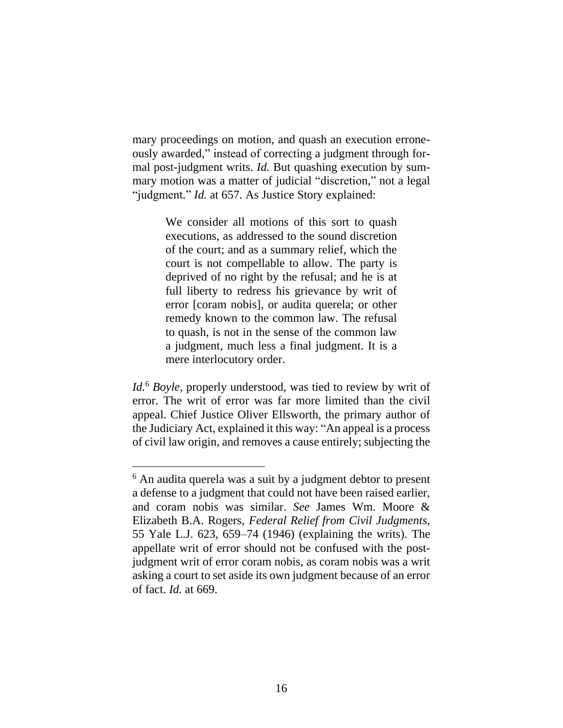mary proceedings on motion, and quash an execution erroneously awarded," instead of correcting a judgment through formal post-judgment writs. *Id.* But quashing execution by summary motion was a matter of judicial "discretion," not a legal "judgment." *Id.* at 657. As Justice Story explained:

> We consider all motions of this sort to quash executions, as addressed to the sound discretion of the court; and as a summary relief, which the court is not compellable to allow. The party is deprived of no right by the refusal; and he is at full liberty to redress his grievance by writ of error [coram nobis], or audita querela; or other remedy known to the common law. The refusal to quash, is not in the sense of the common law a judgment, much less a final judgment. It is a mere interlocutory order.

*Id.*<sup>6</sup> *Boyle*, properly understood, was tied to review by writ of error. The writ of error was far more limited than the civil appeal. Chief Justice Oliver Ellsworth, the primary author of the Judiciary Act, explained it this way: "An appeal is a process of civil law origin, and removes a cause entirely; subjecting the

<sup>6</sup> An audita querela was a suit by a judgment debtor to present a defense to a judgment that could not have been raised earlier, and coram nobis was similar. *See* James Wm. Moore & Elizabeth B.A. Rogers, *Federal Relief from Civil Judgments*, 55 Yale L.J. 623, 659–74 (1946) (explaining the writs). The appellate writ of error should not be confused with the postjudgment writ of error coram nobis, as coram nobis was a writ asking a court to set aside its own judgment because of an error of fact. *Id.* at 669.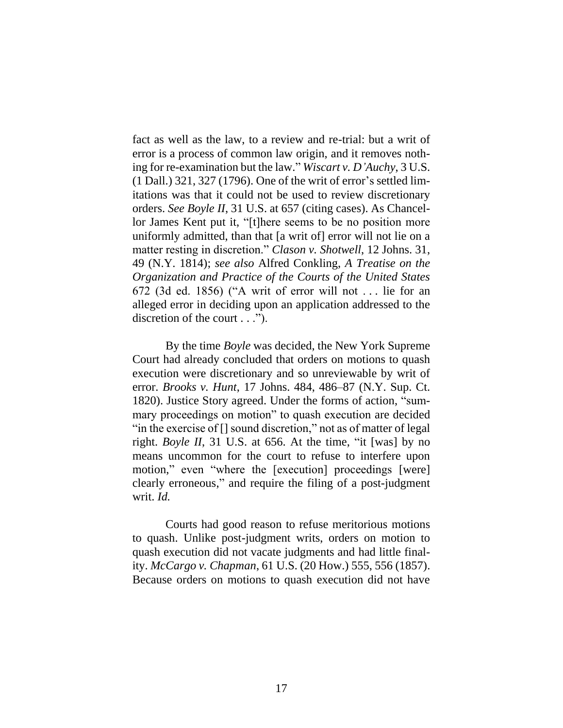fact as well as the law, to a review and re-trial: but a writ of error is a process of common law origin, and it removes nothing for re-examination but the law." *Wiscart v. D'Auchy*, 3 U.S. (1 Dall.) 321, 327 (1796). One of the writ of error's settled limitations was that it could not be used to review discretionary orders. *See Boyle II*, 31 U.S. at 657 (citing cases). As Chancellor James Kent put it, "[t]here seems to be no position more uniformly admitted, than that [a writ of] error will not lie on a matter resting in discretion." *Clason v. Shotwell*, 12 Johns. 31, 49 (N.Y. 1814); *see also* Alfred Conkling, *A Treatise on the Organization and Practice of the Courts of the United States* 672 (3d ed. 1856) ("A writ of error will not . . . lie for an alleged error in deciding upon an application addressed to the discretion of the court . . .").

By the time *Boyle* was decided, the New York Supreme Court had already concluded that orders on motions to quash execution were discretionary and so unreviewable by writ of error. *Brooks v. Hunt*, 17 Johns. 484, 486–87 (N.Y. Sup. Ct. 1820). Justice Story agreed. Under the forms of action, "summary proceedings on motion" to quash execution are decided "in the exercise of [] sound discretion," not as of matter of legal right. *Boyle II*, 31 U.S. at 656. At the time, "it [was] by no means uncommon for the court to refuse to interfere upon motion," even "where the [execution] proceedings [were] clearly erroneous," and require the filing of a post-judgment writ. *Id.*

Courts had good reason to refuse meritorious motions to quash. Unlike post-judgment writs, orders on motion to quash execution did not vacate judgments and had little finality. *McCargo v. Chapman*, 61 U.S. (20 How.) 555, 556 (1857). Because orders on motions to quash execution did not have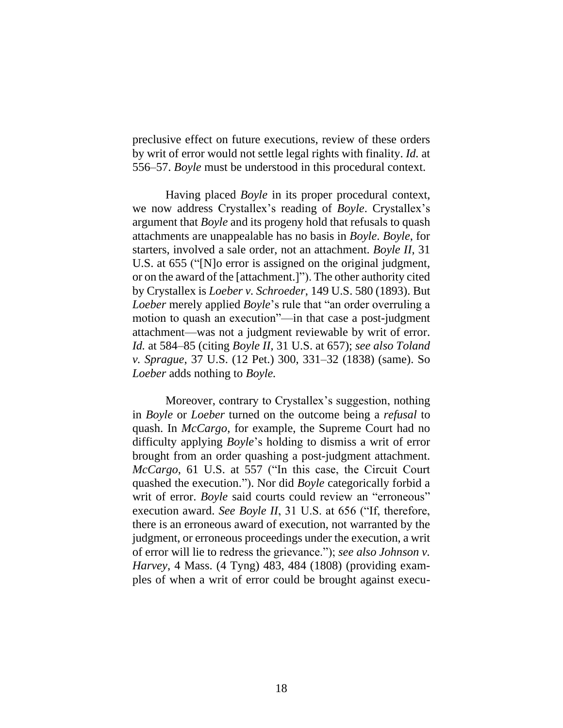preclusive effect on future executions, review of these orders by writ of error would not settle legal rights with finality. *Id.* at 556–57. *Boyle* must be understood in this procedural context.

Having placed *Boyle* in its proper procedural context, we now address Crystallex's reading of *Boyle*. Crystallex's argument that *Boyle* and its progeny hold that refusals to quash attachments are unappealable has no basis in *Boyle*. *Boyle*, for starters, involved a sale order, not an attachment. *Boyle II*, 31 U.S. at 655 ("[N]o error is assigned on the original judgment, or on the award of the [attachment.]"). The other authority cited by Crystallex is *Loeber v. Schroeder*, 149 U.S. 580 (1893). But *Loeber* merely applied *Boyle*'s rule that "an order overruling a motion to quash an execution"—in that case a post-judgment attachment—was not a judgment reviewable by writ of error. *Id.* at 584–85 (citing *Boyle II*, 31 U.S. at 657); *see also Toland v. Sprague*, 37 U.S. (12 Pet.) 300, 331–32 (1838) (same). So *Loeber* adds nothing to *Boyle.*

Moreover, contrary to Crystallex's suggestion, nothing in *Boyle* or *Loeber* turned on the outcome being a *refusal* to quash. In *McCargo*, for example, the Supreme Court had no difficulty applying *Boyle*'s holding to dismiss a writ of error brought from an order quashing a post-judgment attachment. *McCargo*, 61 U.S. at 557 ("In this case, the Circuit Court quashed the execution."). Nor did *Boyle* categorically forbid a writ of error. *Boyle* said courts could review an "erroneous" execution award. *See Boyle II*, 31 U.S. at 656 ("If, therefore, there is an erroneous award of execution, not warranted by the judgment, or erroneous proceedings under the execution, a writ of error will lie to redress the grievance."); *see also Johnson v. Harvey*, 4 Mass. (4 Tyng) 483, 484 (1808) (providing examples of when a writ of error could be brought against execu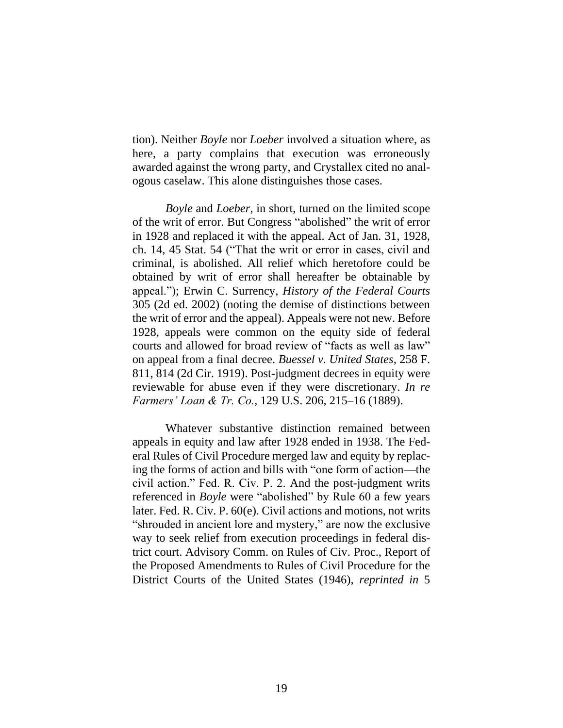tion). Neither *Boyle* nor *Loeber* involved a situation where, as here, a party complains that execution was erroneously awarded against the wrong party, and Crystallex cited no analogous caselaw. This alone distinguishes those cases.

*Boyle* and *Loeber*, in short, turned on the limited scope of the writ of error. But Congress "abolished" the writ of error in 1928 and replaced it with the appeal. Act of Jan. 31, 1928, ch. 14, 45 Stat. 54 ("That the writ or error in cases, civil and criminal, is abolished. All relief which heretofore could be obtained by writ of error shall hereafter be obtainable by appeal."); Erwin C. Surrency, *History of the Federal Courts*  305 (2d ed. 2002) (noting the demise of distinctions between the writ of error and the appeal). Appeals were not new. Before 1928, appeals were common on the equity side of federal courts and allowed for broad review of "facts as well as law" on appeal from a final decree. *Buessel v. United States*, 258 F. 811, 814 (2d Cir. 1919). Post-judgment decrees in equity were reviewable for abuse even if they were discretionary. *In re Farmers' Loan & Tr. Co.*, 129 U.S. 206, 215–16 (1889).

Whatever substantive distinction remained between appeals in equity and law after 1928 ended in 1938. The Federal Rules of Civil Procedure merged law and equity by replacing the forms of action and bills with "one form of action—the civil action." Fed. R. Civ. P. 2. And the post-judgment writs referenced in *Boyle* were "abolished" by Rule 60 a few years later. Fed. R. Civ. P. 60(e). Civil actions and motions, not writs "shrouded in ancient lore and mystery," are now the exclusive way to seek relief from execution proceedings in federal district court. Advisory Comm. on Rules of Civ. Proc., Report of the Proposed Amendments to Rules of Civil Procedure for the District Courts of the United States (1946), *reprinted in* 5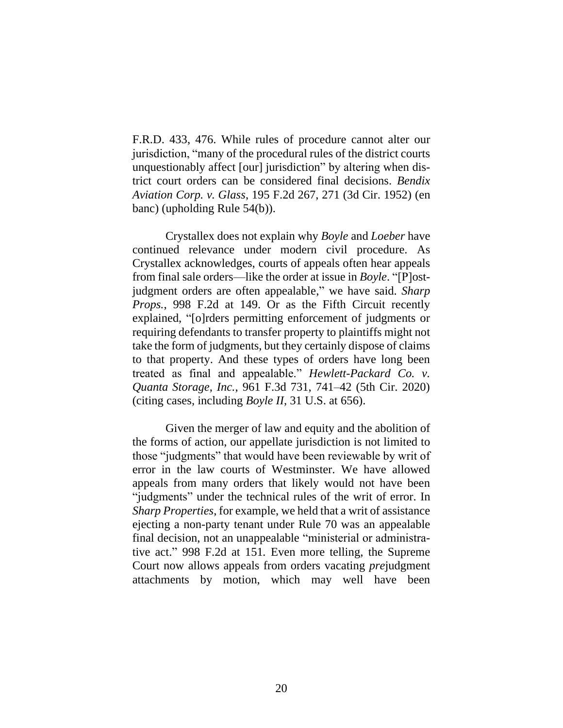F.R.D. 433, 476. While rules of procedure cannot alter our jurisdiction, "many of the procedural rules of the district courts unquestionably affect [our] jurisdiction" by altering when district court orders can be considered final decisions. *Bendix Aviation Corp. v. Glass*, 195 F.2d 267, 271 (3d Cir. 1952) (en banc) (upholding Rule 54(b)).

Crystallex does not explain why *Boyle* and *Loeber* have continued relevance under modern civil procedure. As Crystallex acknowledges, courts of appeals often hear appeals from final sale orders—like the order at issue in *Boyle*. "[P]ostjudgment orders are often appealable," we have said. *Sharp Props.*, 998 F.2d at 149. Or as the Fifth Circuit recently explained, "[o]rders permitting enforcement of judgments or requiring defendants to transfer property to plaintiffs might not take the form of judgments, but they certainly dispose of claims to that property. And these types of orders have long been treated as final and appealable." *Hewlett-Packard Co. v. Quanta Storage, Inc.*, 961 F.3d 731, 741–42 (5th Cir. 2020) (citing cases, including *Boyle II*, 31 U.S. at 656).

Given the merger of law and equity and the abolition of the forms of action, our appellate jurisdiction is not limited to those "judgments" that would have been reviewable by writ of error in the law courts of Westminster. We have allowed appeals from many orders that likely would not have been "judgments" under the technical rules of the writ of error. In *Sharp Properties*, for example, we held that a writ of assistance ejecting a non-party tenant under Rule 70 was an appealable final decision, not an unappealable "ministerial or administrative act." 998 F.2d at 151*.* Even more telling, the Supreme Court now allows appeals from orders vacating *pre*judgment attachments by motion, which may well have been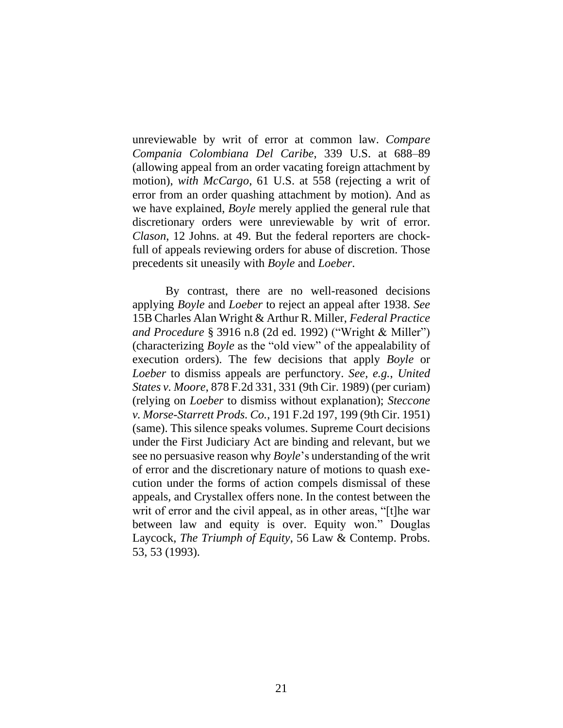unreviewable by writ of error at common law. *Compare Compania Colombiana Del Caribe*, 339 U.S. at 688–89 (allowing appeal from an order vacating foreign attachment by motion), *with McCargo*, 61 U.S. at 558 (rejecting a writ of error from an order quashing attachment by motion). And as we have explained, *Boyle* merely applied the general rule that discretionary orders were unreviewable by writ of error. *Clason*, 12 Johns. at 49. But the federal reporters are chockfull of appeals reviewing orders for abuse of discretion. Those precedents sit uneasily with *Boyle* and *Loeber*.

By contrast, there are no well-reasoned decisions applying *Boyle* and *Loeber* to reject an appeal after 1938. *See*  15B Charles Alan Wright & Arthur R. Miller, *Federal Practice and Procedure* § 3916 n.8 (2d ed. 1992) ("Wright & Miller") (characterizing *Boyle* as the "old view" of the appealability of execution orders). The few decisions that apply *Boyle* or *Loeber* to dismiss appeals are perfunctory. *See, e.g.*, *United States v. Moore*, 878 F.2d 331, 331 (9th Cir. 1989) (per curiam) (relying on *Loeber* to dismiss without explanation); *Steccone v. Morse-Starrett Prods. Co.*, 191 F.2d 197, 199 (9th Cir. 1951) (same). This silence speaks volumes. Supreme Court decisions under the First Judiciary Act are binding and relevant, but we see no persuasive reason why *Boyle*'s understanding of the writ of error and the discretionary nature of motions to quash execution under the forms of action compels dismissal of these appeals, and Crystallex offers none. In the contest between the writ of error and the civil appeal, as in other areas, "[t]he war between law and equity is over. Equity won." Douglas Laycock, *The Triumph of Equity*, 56 Law & Contemp. Probs. 53, 53 (1993).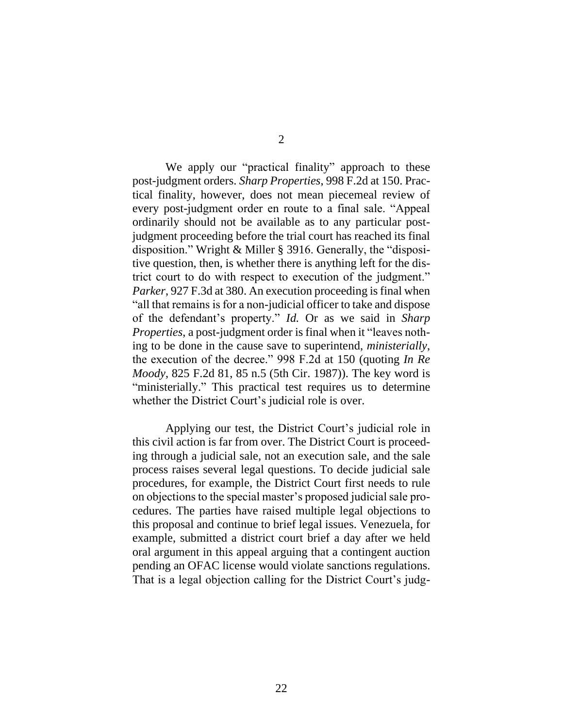We apply our "practical finality" approach to these post-judgment orders. *Sharp Properties*, 998 F.2d at 150. Practical finality, however, does not mean piecemeal review of every post-judgment order en route to a final sale. "Appeal ordinarily should not be available as to any particular postjudgment proceeding before the trial court has reached its final disposition." Wright & Miller § 3916. Generally, the "dispositive question, then, is whether there is anything left for the district court to do with respect to execution of the judgment." *Parker*, 927 F.3d at 380. An execution proceeding is final when "all that remains is for a non-judicial officer to take and dispose of the defendant's property." *Id.* Or as we said in *Sharp Properties*, a post-judgment order is final when it "leaves nothing to be done in the cause save to superintend, *ministerially*, the execution of the decree." 998 F.2d at 150 (quoting *In Re Moody*, 825 F.2d 81, 85 n.5 (5th Cir. 1987)). The key word is "ministerially." This practical test requires us to determine whether the District Court's judicial role is over.

Applying our test, the District Court's judicial role in this civil action is far from over. The District Court is proceeding through a judicial sale, not an execution sale, and the sale process raises several legal questions. To decide judicial sale procedures, for example, the District Court first needs to rule on objections to the special master's proposed judicial sale procedures. The parties have raised multiple legal objections to this proposal and continue to brief legal issues. Venezuela, for example, submitted a district court brief a day after we held oral argument in this appeal arguing that a contingent auction pending an OFAC license would violate sanctions regulations. That is a legal objection calling for the District Court's judg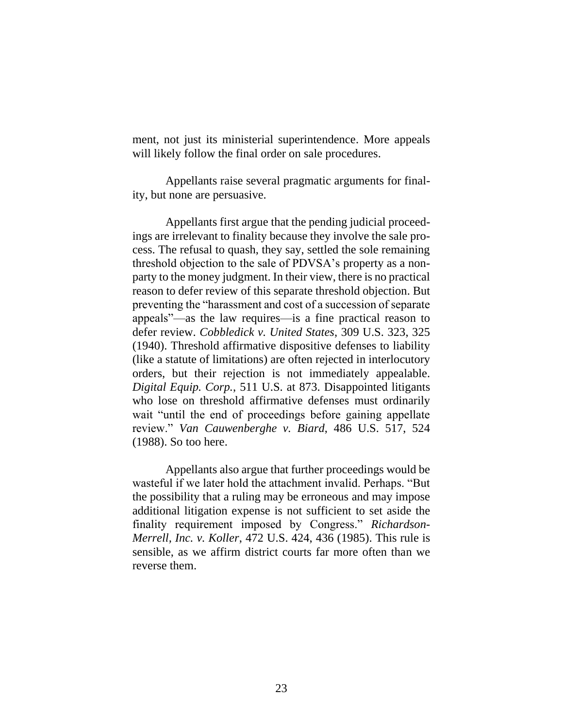ment, not just its ministerial superintendence. More appeals will likely follow the final order on sale procedures.

Appellants raise several pragmatic arguments for finality, but none are persuasive.

Appellants first argue that the pending judicial proceedings are irrelevant to finality because they involve the sale process. The refusal to quash, they say, settled the sole remaining threshold objection to the sale of PDVSA's property as a nonparty to the money judgment. In their view, there is no practical reason to defer review of this separate threshold objection. But preventing the "harassment and cost of a succession of separate appeals"—as the law requires—is a fine practical reason to defer review. *Cobbledick v. United States*, 309 U.S. 323, 325 (1940). Threshold affirmative dispositive defenses to liability (like a statute of limitations) are often rejected in interlocutory orders, but their rejection is not immediately appealable. *Digital Equip. Corp.*, 511 U.S. at 873. Disappointed litigants who lose on threshold affirmative defenses must ordinarily wait "until the end of proceedings before gaining appellate review." *Van Cauwenberghe v. Biard*, 486 U.S. 517, 524 (1988). So too here.

Appellants also argue that further proceedings would be wasteful if we later hold the attachment invalid. Perhaps. "But the possibility that a ruling may be erroneous and may impose additional litigation expense is not sufficient to set aside the finality requirement imposed by Congress." *Richardson-Merrell, Inc. v. Koller*, 472 U.S. 424, 436 (1985). This rule is sensible, as we affirm district courts far more often than we reverse them.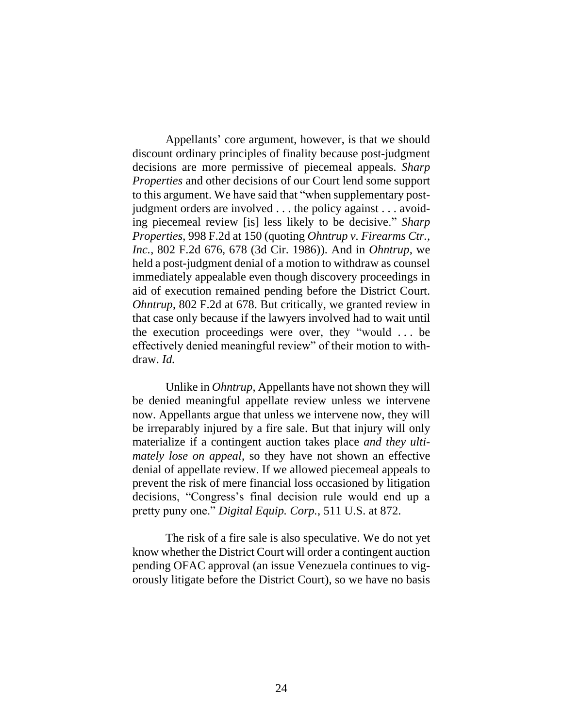Appellants' core argument, however, is that we should discount ordinary principles of finality because post-judgment decisions are more permissive of piecemeal appeals. *Sharp Properties* and other decisions of our Court lend some support to this argument. We have said that "when supplementary postjudgment orders are involved . . . the policy against . . . avoiding piecemeal review [is] less likely to be decisive." *Sharp Properties*, 998 F.2d at 150 (quoting *Ohntrup v. Firearms Ctr., Inc.*, 802 F.2d 676, 678 (3d Cir. 1986)). And in *Ohntrup*, we held a post-judgment denial of a motion to withdraw as counsel immediately appealable even though discovery proceedings in aid of execution remained pending before the District Court. *Ohntrup*, 802 F.2d at 678. But critically, we granted review in that case only because if the lawyers involved had to wait until the execution proceedings were over, they "would . . . be effectively denied meaningful review" of their motion to withdraw. *Id.*

Unlike in *Ohntrup*, Appellants have not shown they will be denied meaningful appellate review unless we intervene now. Appellants argue that unless we intervene now, they will be irreparably injured by a fire sale. But that injury will only materialize if a contingent auction takes place *and they ultimately lose on appeal*, so they have not shown an effective denial of appellate review. If we allowed piecemeal appeals to prevent the risk of mere financial loss occasioned by litigation decisions, "Congress's final decision rule would end up a pretty puny one." *Digital Equip. Corp.*, 511 U.S. at 872.

The risk of a fire sale is also speculative. We do not yet know whether the District Court will order a contingent auction pending OFAC approval (an issue Venezuela continues to vigorously litigate before the District Court), so we have no basis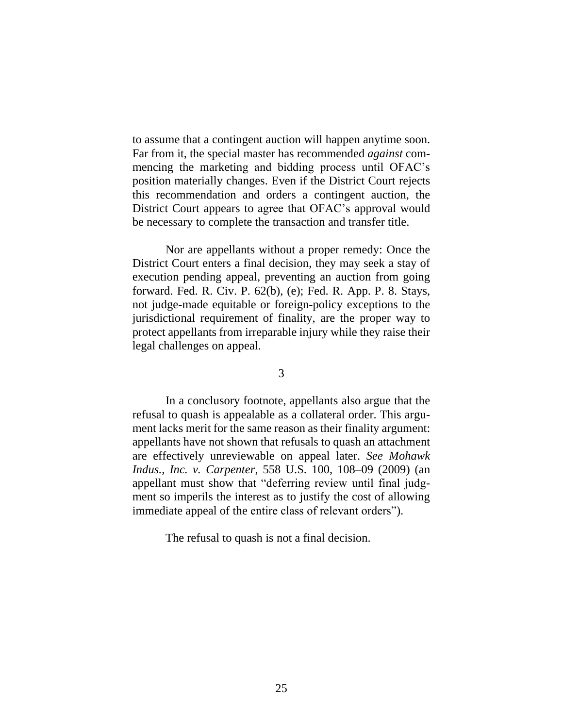to assume that a contingent auction will happen anytime soon. Far from it, the special master has recommended *against* commencing the marketing and bidding process until OFAC's position materially changes. Even if the District Court rejects this recommendation and orders a contingent auction, the District Court appears to agree that OFAC's approval would be necessary to complete the transaction and transfer title.

Nor are appellants without a proper remedy: Once the District Court enters a final decision, they may seek a stay of execution pending appeal, preventing an auction from going forward. Fed. R. Civ. P. 62(b), (e); Fed. R. App. P. 8. Stays, not judge-made equitable or foreign-policy exceptions to the jurisdictional requirement of finality, are the proper way to protect appellants from irreparable injury while they raise their legal challenges on appeal.

3

In a conclusory footnote, appellants also argue that the refusal to quash is appealable as a collateral order. This argument lacks merit for the same reason as their finality argument: appellants have not shown that refusals to quash an attachment are effectively unreviewable on appeal later. *See Mohawk Indus., Inc. v. Carpenter*, 558 U.S. 100, 108–09 (2009) (an appellant must show that "deferring review until final judgment so imperils the interest as to justify the cost of allowing immediate appeal of the entire class of relevant orders").

The refusal to quash is not a final decision.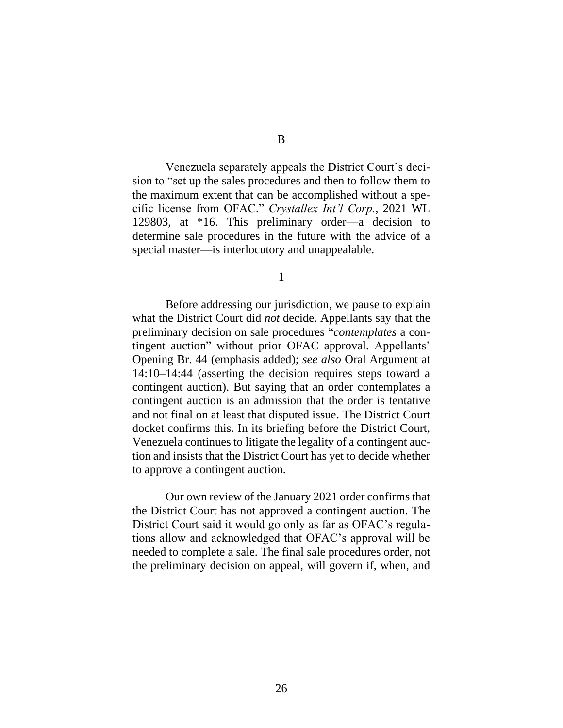Venezuela separately appeals the District Court's decision to "set up the sales procedures and then to follow them to the maximum extent that can be accomplished without a specific license from OFAC." *Crystallex Int'l Corp.*, 2021 WL 129803, at \*16. This preliminary order—a decision to determine sale procedures in the future with the advice of a special master—is interlocutory and unappealable.

1

Before addressing our jurisdiction, we pause to explain what the District Court did *not* decide. Appellants say that the preliminary decision on sale procedures "*contemplates* a contingent auction" without prior OFAC approval. Appellants' Opening Br. 44 (emphasis added); *see also* Oral Argument at 14:10–14:44 (asserting the decision requires steps toward a contingent auction). But saying that an order contemplates a contingent auction is an admission that the order is tentative and not final on at least that disputed issue. The District Court docket confirms this. In its briefing before the District Court, Venezuela continues to litigate the legality of a contingent auction and insists that the District Court has yet to decide whether to approve a contingent auction.

Our own review of the January 2021 order confirms that the District Court has not approved a contingent auction. The District Court said it would go only as far as OFAC's regulations allow and acknowledged that OFAC's approval will be needed to complete a sale. The final sale procedures order, not the preliminary decision on appeal, will govern if, when, and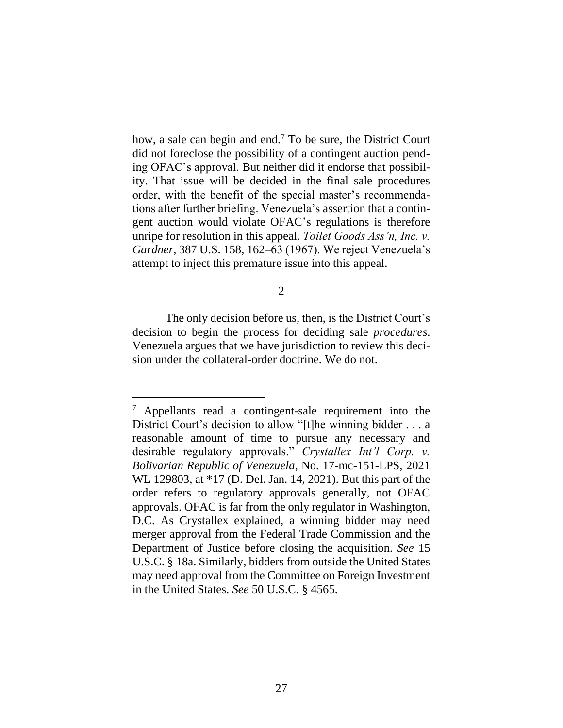how, a sale can begin and end.<sup>7</sup> To be sure, the District Court did not foreclose the possibility of a contingent auction pending OFAC's approval. But neither did it endorse that possibility. That issue will be decided in the final sale procedures order, with the benefit of the special master's recommendations after further briefing. Venezuela's assertion that a contingent auction would violate OFAC's regulations is therefore unripe for resolution in this appeal. *Toilet Goods Ass'n, Inc. v. Gardner*, 387 U.S. 158, 162–63 (1967). We reject Venezuela's attempt to inject this premature issue into this appeal.

2

The only decision before us, then, is the District Court's decision to begin the process for deciding sale *procedures*. Venezuela argues that we have jurisdiction to review this decision under the collateral-order doctrine. We do not.

<sup>7</sup> Appellants read a contingent-sale requirement into the District Court's decision to allow "[t]he winning bidder . . . a reasonable amount of time to pursue any necessary and desirable regulatory approvals." *Crystallex Int'l Corp. v. Bolivarian Republic of Venezuela*, No. 17-mc-151-LPS, 2021 WL 129803, at \*17 (D. Del. Jan. 14, 2021). But this part of the order refers to regulatory approvals generally, not OFAC approvals. OFAC is far from the only regulator in Washington, D.C. As Crystallex explained, a winning bidder may need merger approval from the Federal Trade Commission and the Department of Justice before closing the acquisition. *See* 15 U.S.C. § 18a. Similarly, bidders from outside the United States may need approval from the Committee on Foreign Investment in the United States. *See* 50 U.S.C. § 4565.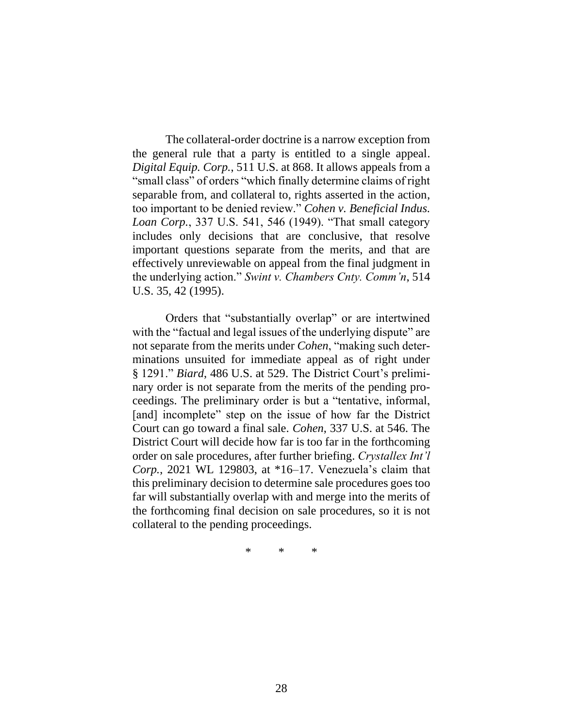The collateral-order doctrine is a narrow exception from the general rule that a party is entitled to a single appeal. *Digital Equip. Corp.*, 511 U.S. at 868. It allows appeals from a "small class" of orders "which finally determine claims of right separable from, and collateral to, rights asserted in the action, too important to be denied review." *Cohen v. Beneficial Indus. Loan Corp.*, 337 U.S. 541, 546 (1949). "That small category includes only decisions that are conclusive, that resolve important questions separate from the merits, and that are effectively unreviewable on appeal from the final judgment in the underlying action." *Swint v. Chambers Cnty. Comm'n*, 514 U.S. 35, 42 (1995).

Orders that "substantially overlap" or are intertwined with the "factual and legal issues of the underlying dispute" are not separate from the merits under *Cohen*, "making such determinations unsuited for immediate appeal as of right under § 1291." *Biard*, 486 U.S. at 529. The District Court's preliminary order is not separate from the merits of the pending proceedings. The preliminary order is but a "tentative, informal, [and] incomplete" step on the issue of how far the District Court can go toward a final sale. *Cohen*, 337 U.S. at 546. The District Court will decide how far is too far in the forthcoming order on sale procedures, after further briefing. *Crystallex Int'l Corp.*, 2021 WL 129803, at \*16–17. Venezuela's claim that this preliminary decision to determine sale procedures goes too far will substantially overlap with and merge into the merits of the forthcoming final decision on sale procedures, so it is not collateral to the pending proceedings.

\* \* \*